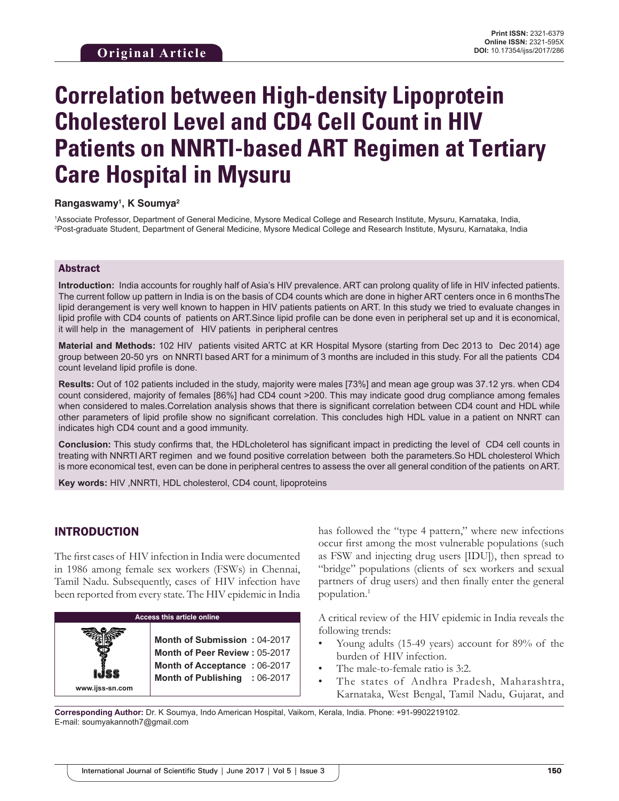# **Correlation between High-density Lipoprotein Cholesterol Level and CD4 Cell Count in HIV Patients on NNRTI-based ART Regimen at Tertiary Care Hospital in Mysuru**

#### **Rangaswamy1 , K Soumya2**

1 Associate Professor, Department of General Medicine, Mysore Medical College and Research Institute, Mysuru, Karnataka, India, 2 Post-graduate Student, Department of General Medicine, Mysore Medical College and Research Institute, Mysuru, Karnataka, India

#### Abstract

**Introduction:** India accounts for roughly half of Asia's HIV prevalence. ART can prolong quality of life in HIV infected patients. The current follow up pattern in India is on the basis of CD4 counts which are done in higher ART centers once in 6 monthsThe lipid derangement is very well known to happen in HIV patients patients on ART. In this study we tried to evaluate changes in lipid profile with CD4 counts of patients on ART.Since lipid profile can be done even in peripheral set up and it is economical, it will help in the management of HIV patients in peripheral centres

**Material and Methods:** 102 HIV patients visited ARTC at KR Hospital Mysore (starting from Dec 2013 to Dec 2014) age group between 20-50 yrs on NNRTI based ART for a minimum of 3 months are included in this study. For all the patients CD4 count leveland lipid profile is done.

**Results:** Out of 102 patients included in the study, majority were males [73%] and mean age group was 37.12 yrs. when CD4 count considered, majority of females [86%] had CD4 count >200. This may indicate good drug compliance among females when considered to males.Correlation analysis shows that there is significant correlation between CD4 count and HDL while other parameters of lipid profile show no significant correlation. This concludes high HDL value in a patient on NNRT can indicates high CD4 count and a good immunity.

**Conclusion:** This study confirms that, the HDLcholeterol has significant impact in predicting the level of CD4 cell counts in treating with NNRTI ART regimen and we found positive correlation between both the parameters.So HDL cholesterol Which is more economical test, even can be done in peripheral centres to assess the over all general condition of the patients on ART.

**Key words:** HIV ,NNRTI, HDL cholesterol, CD4 count, lipoproteins

## INTRODUCTION

**www.ijss-sn.com**

The first cases of HIV infection in India were documented in 1986 among female sex workers (FSWs) in Chennai, Tamil Nadu. Subsequently, cases of HIV infection have been reported from every state. The HIV epidemic in India

# **Access this article online**

**Month of Submission :** 04-2017 **Month of Peer Review :** 05-2017 **Month of Acceptance :** 06-2017 **Month of Publishing :** 06-2017 has followed the "type 4 pattern," where new infections occur first among the most vulnerable populations (such as FSW and injecting drug users [IDU]), then spread to "bridge" populations (clients of sex workers and sexual partners of drug users) and then finally enter the general population.1

A critical review of the HIV epidemic in India reveals the following trends:

- Young adults (15-49 years) account for 89% of the burden of HIV infection.
- The male-to-female ratio is 3:2.
- The states of Andhra Pradesh, Maharashtra, Karnataka, West Bengal, Tamil Nadu, Gujarat, and

**Corresponding Author:** Dr. K Soumya, Indo American Hospital, Vaikom, Kerala, India. Phone: +91-9902219102. E-mail: soumyakannoth7@gmail.com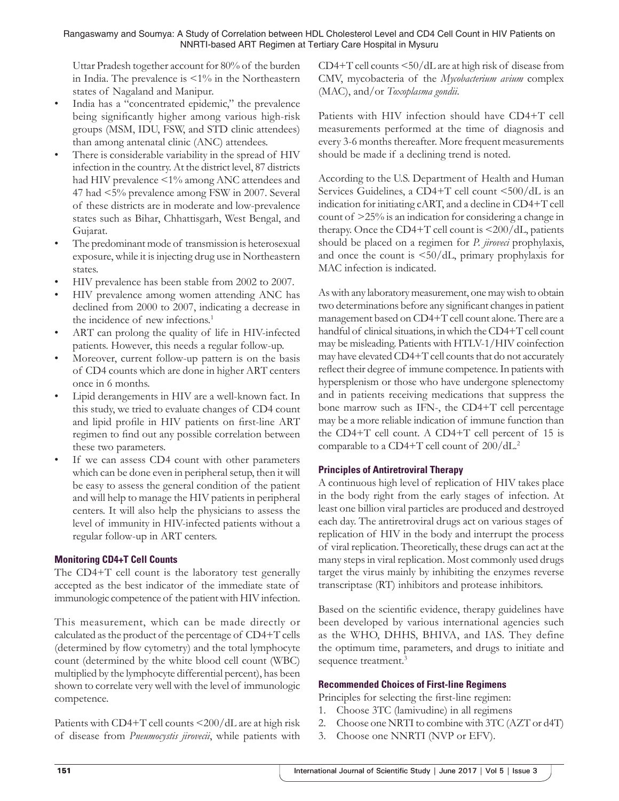Uttar Pradesh together account for 80% of the burden in India. The prevalence is <1% in the Northeastern states of Nagaland and Manipur.

- India has a "concentrated epidemic," the prevalence being significantly higher among various high-risk groups (MSM, IDU, FSW, and STD clinic attendees) than among antenatal clinic (ANC) attendees.
- There is considerable variability in the spread of HIV infection in the country. At the district level, 87 districts had HIV prevalence <1% among ANC attendees and 47 had <5% prevalence among FSW in 2007. Several of these districts are in moderate and low-prevalence states such as Bihar, Chhattisgarh, West Bengal, and Gujarat.
- The predominant mode of transmission is heterosexual exposure, while it is injecting drug use in Northeastern states.
- HIV prevalence has been stable from 2002 to 2007.
- HIV prevalence among women attending ANC has declined from 2000 to 2007, indicating a decrease in the incidence of new infections.<sup>1</sup>
- ART can prolong the quality of life in HIV-infected patients. However, this needs a regular follow-up.
- Moreover, current follow-up pattern is on the basis of CD4 counts which are done in higher ART centers once in 6 months.
- Lipid derangements in HIV are a well-known fact. In this study, we tried to evaluate changes of CD4 count and lipid profile in HIV patients on first-line ART regimen to find out any possible correlation between these two parameters.
- If we can assess CD4 count with other parameters which can be done even in peripheral setup, then it will be easy to assess the general condition of the patient and will help to manage the HIV patients in peripheral centers. It will also help the physicians to assess the level of immunity in HIV-infected patients without a regular follow-up in ART centers.

## **Monitoring CD4+T Cell Counts**

The CD4+T cell count is the laboratory test generally accepted as the best indicator of the immediate state of immunologic competence of the patient with HIV infection.

This measurement, which can be made directly or calculated as the product of the percentage of CD4+T cells (determined by flow cytometry) and the total lymphocyte count (determined by the white blood cell count (WBC) multiplied by the lymphocyte differential percent), has been shown to correlate very well with the level of immunologic competence.

Patients with CD4+T cell counts <200/dL are at high risk of disease from *Pneumocystis jirovecii*, while patients with CD4+T cell counts <50/dL are at high risk of disease from CMV, mycobacteria of the *Mycobacterium avium* complex (MAC), and/or *Toxoplasma gondii*.

Patients with HIV infection should have CD4+T cell measurements performed at the time of diagnosis and every 3-6 months thereafter. More frequent measurements should be made if a declining trend is noted.

According to the U.S. Department of Health and Human Services Guidelines, a CD4+T cell count <500/dL is an indication for initiating cART, and a decline in CD4+T cell count of >25% is an indication for considering a change in therapy. Once the CD4+T cell count is  $\langle 200/dL,$  patients should be placed on a regimen for *P. jiroveci* prophylaxis, and once the count is <50/dL, primary prophylaxis for MAC infection is indicated.

As with any laboratory measurement, one may wish to obtain two determinations before any significant changes in patient management based on CD4+T cell count alone. There are a handful of clinical situations, in which the CD4+T cell count may be misleading. Patients with HTLV-1/HIV coinfection may have elevated CD4+T cell counts that do not accurately reflect their degree of immune competence. In patients with hypersplenism or those who have undergone splenectomy and in patients receiving medications that suppress the bone marrow such as IFN-, the CD4+T cell percentage may be a more reliable indication of immune function than the CD4+T cell count. A CD4+T cell percent of 15 is comparable to a CD4+T cell count of 200/dL.2

# **Principles of Antiretroviral Therapy**

A continuous high level of replication of HIV takes place in the body right from the early stages of infection. At least one billion viral particles are produced and destroyed each day. The antiretroviral drugs act on various stages of replication of HIV in the body and interrupt the process of viral replication. Theoretically, these drugs can act at the many steps in viral replication. Most commonly used drugs target the virus mainly by inhibiting the enzymes reverse transcriptase (RT) inhibitors and protease inhibitors.

Based on the scientific evidence, therapy guidelines have been developed by various international agencies such as the WHO, DHHS, BHIVA, and IAS. They define the optimum time, parameters, and drugs to initiate and sequence treatment.<sup>3</sup>

## **Recommended Choices of First-line Regimens**

- Principles for selecting the first-line regimen:
- 1. Choose 3TC (lamivudine) in all regimens
- 2. Choose one NRTI to combine with 3TC (AZT or d4T)
- 3. Choose one NNRTI (NVP or EFV).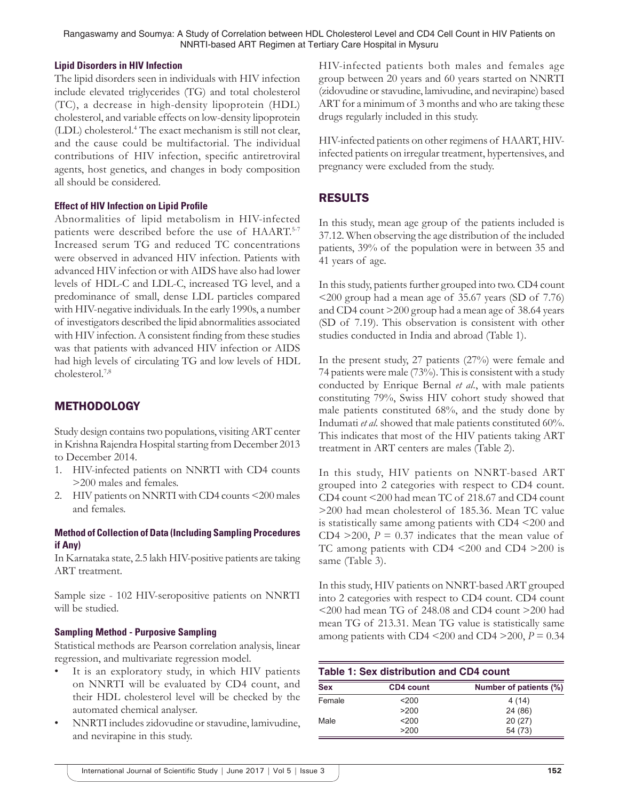Rangaswamy and Soumya: A Study of Correlation between HDL Cholesterol Level and CD4 Cell Count in HIV Patients on NNRTI-based ART Regimen at Tertiary Care Hospital in Mysuru

#### **Lipid Disorders in HIV Infection**

The lipid disorders seen in individuals with HIV infection include elevated triglycerides (TG) and total cholesterol (TC), a decrease in high-density lipoprotein (HDL) cholesterol, and variable effects on low-density lipoprotein (LDL) cholesterol.<sup>4</sup> The exact mechanism is still not clear, and the cause could be multifactorial. The individual contributions of HIV infection, specific antiretroviral agents, host genetics, and changes in body composition all should be considered.

#### **Effect of HIV Infection on Lipid Profile**

Abnormalities of lipid metabolism in HIV-infected patients were described before the use of HAART.5-7 Increased serum TG and reduced TC concentrations were observed in advanced HIV infection. Patients with advanced HIV infection or with AIDS have also had lower levels of HDL-C and LDL-C, increased TG level, and a predominance of small, dense LDL particles compared with HIV-negative individuals. In the early 1990s, a number of investigators described the lipid abnormalities associated with HIV infection. A consistent finding from these studies was that patients with advanced HIV infection or AIDS had high levels of circulating TG and low levels of HDL cholesterol.7,8

# **METHODOLOGY**

Study design contains two populations, visiting ART center in Krishna Rajendra Hospital starting from December 2013 to December 2014.

- 1. HIV-infected patients on NNRTI with CD4 counts >200 males and females.
- 2. HIV patients on NNRTI with CD4 counts <200 males and females.

### **Method of Collection of Data (Including Sampling Procedures if Any)**

In Karnataka state, 2.5 lakh HIV-positive patients are taking ART treatment.

Sample size - 102 HIV-seropositive patients on NNRTI will be studied.

#### **Sampling Method - Purposive Sampling**

Statistical methods are Pearson correlation analysis, linear regression, and multivariate regression model.

- It is an exploratory study, in which HIV patients on NNRTI will be evaluated by CD4 count, and their HDL cholesterol level will be checked by the automated chemical analyser.
- NNRTI includes zidovudine or stavudine, lamivudine, and nevirapine in this study.

HIV-infected patients both males and females age group between 20 years and 60 years started on NNRTI (zidovudine or stavudine, lamivudine, and nevirapine) based ART for a minimum of 3 months and who are taking these drugs regularly included in this study.

HIV-infected patients on other regimens of HAART, HIVinfected patients on irregular treatment, hypertensives, and pregnancy were excluded from the study.

# RESULTS

In this study, mean age group of the patients included is 37.12. When observing the age distribution of the included patients, 39% of the population were in between 35 and 41 years of age.

In this study, patients further grouped into two. CD4 count <200 group had a mean age of 35.67 years (SD of 7.76) and CD4 count >200 group had a mean age of 38.64 years (SD of 7.19). This observation is consistent with other studies conducted in India and abroad (Table 1).

In the present study, 27 patients (27%) were female and 74 patients were male (73%). This is consistent with a study conducted by Enrique Bernal *et al*., with male patients constituting 79%, Swiss HIV cohort study showed that male patients constituted 68%, and the study done by Indumati *et al*. showed that male patients constituted 60%. This indicates that most of the HIV patients taking ART treatment in ART centers are males (Table 2).

In this study, HIV patients on NNRT-based ART grouped into 2 categories with respect to CD4 count. CD4 count <200 had mean TC of 218.67 and CD4 count >200 had mean cholesterol of 185.36. Mean TC value is statistically same among patients with CD4 <200 and CD4  $>$ 200, *P* = 0.37 indicates that the mean value of TC among patients with CD4 <200 and CD4 >200 is same (Table 3).

In this study, HIV patients on NNRT-based ART grouped into 2 categories with respect to CD4 count. CD4 count <200 had mean TG of 248.08 and CD4 count >200 had mean TG of 213.31. Mean TG value is statistically same among patients with CD4  $\leq$ 200 and CD4  $\geq$ 200, *P* = 0.34

| Table 1: Sex distribution and CD4 count |                  |                        |  |  |
|-----------------------------------------|------------------|------------------------|--|--|
| <b>Sex</b>                              | <b>CD4 count</b> | Number of patients (%) |  |  |
| Female                                  | $<$ 200          | 4(14)                  |  |  |
|                                         | >200             | 24 (86)                |  |  |
| Male                                    | <200             | 20(27)                 |  |  |

>200 54 (73)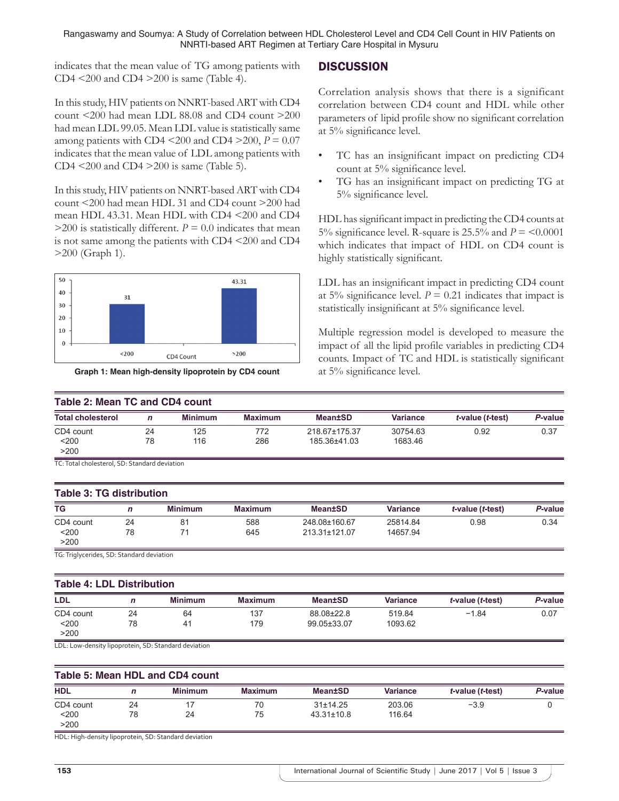Rangaswamy and Soumya: A Study of Correlation between HDL Cholesterol Level and CD4 Cell Count in HIV Patients on NNRTI-based ART Regimen at Tertiary Care Hospital in Mysuru

indicates that the mean value of TG among patients with CD4 <200 and CD4 >200 is same (Table 4).

In this study, HIV patients on NNRT-based ART with CD4 count <200 had mean LDL 88.08 and CD4 count >200 had mean LDL 99.05. Mean LDL value is statistically same among patients with CD4  $\leq$ 200 and CD4  $\geq$ 200, *P* = 0.07 indicates that the mean value of LDL among patients with CD4  $\leq$ 200 and CD4  $\geq$ 200 is same (Table 5).

In this study, HIV patients on NNRT-based ART with CD4 count <200 had mean HDL 31 and CD4 count >200 had mean HDL 43.31. Mean HDL with CD4 <200 and CD4  $>$ 200 is statistically different. *P* = 0.0 indicates that mean is not same among the patients with CD4 <200 and CD4 >200 (Graph 1).





## **DISCUSSION**

Correlation analysis shows that there is a significant correlation between CD4 count and HDL while other parameters of lipid profile show no significant correlation at 5% significance level.

- TC has an insignificant impact on predicting CD4 count at 5% significance level.
- TG has an insignificant impact on predicting TG at 5% significance level.

HDL has significant impact in predicting the CD4 counts at 5% significance level. R-square is  $25.5\%$  and  $P = 0.0001$ which indicates that impact of HDL on CD4 count is highly statistically significant.

LDL has an insignificant impact in predicting CD4 count at 5% significance level.  $P = 0.21$  indicates that impact is statistically insignificant at 5% significance level.

Multiple regression model is developed to measure the impact of all the lipid profile variables in predicting CD4 counts. Impact of TC and HDL is statistically significant at 5% significance level.

| <b>Table 2: Mean TC and CD4 count</b>                |              |                |                |                                |                      |                  |         |
|------------------------------------------------------|--------------|----------------|----------------|--------------------------------|----------------------|------------------|---------|
| <b>Total cholesterol</b>                             | $\mathsf{n}$ | <b>Minimum</b> | <b>Maximum</b> | <b>Mean±SD</b>                 | <b>Variance</b>      | t-value (t-test) | P-value |
| CD4 count<br>$200$<br>>200                           | 24<br>78     | 125<br>116     | 772<br>286     | 218.67±175.37<br>185.36±41.03  | 30754.63<br>1683.46  | 0.92             | 0.37    |
| TC: Total cholesterol, SD: Standard deviation        |              |                |                |                                |                      |                  |         |
| <b>Table 3: TG distribution</b>                      |              |                |                |                                |                      |                  |         |
| TG                                                   | $\mathbf n$  | <b>Minimum</b> | <b>Maximum</b> | <b>Mean±SD</b>                 | <b>Variance</b>      | t-value (t-test) | P-value |
| CD4 count<br>< 200<br>>200                           | 24<br>78     | 81<br>71       | 588<br>645     | 248.08±160.67<br>213.31±121.07 | 25814.84<br>14657.94 | 0.98             | 0.34    |
| TG: Triglycerides, SD: Standard deviation            |              |                |                |                                |                      |                  |         |
| <b>Table 4: LDL Distribution</b>                     |              |                |                |                                |                      |                  |         |
| LDL                                                  | $\mathbf n$  | <b>Minimum</b> | <b>Maximum</b> | <b>Mean±SD</b>                 | <b>Variance</b>      | t-value (t-test) | P-value |
| CD4 count<br>$200$<br>>200                           | 24<br>78     | 64<br>41       | 137<br>179     | 88.08±22.8<br>99.05±33.07      | 519.84<br>1093.62    | $-1.84$          | 0.07    |
| LDL: Low-density lipoprotein, SD: Standard deviation |              |                |                |                                |                      |                  |         |
| Table 5: Mean HDL and CD4 count                      |              |                |                |                                |                      |                  |         |

| <b>HDL</b> |    | <b>Minimum</b> | <b>Maximum</b> | <b>Mean±SD</b>   | <b>Variance</b> | t-value (t-test) | P-value |
|------------|----|----------------|----------------|------------------|-----------------|------------------|---------|
| CD4 count  | 24 |                | 70             | 31±14.25         | 203.06          | $-3.9$           |         |
| $200$      | 78 | 24             | 75             | $43.31 \pm 10.8$ | 116.64          |                  |         |
| >200       |    |                |                |                  |                 |                  |         |

HDL: High‑density lipoprotein, SD: Standard deviation